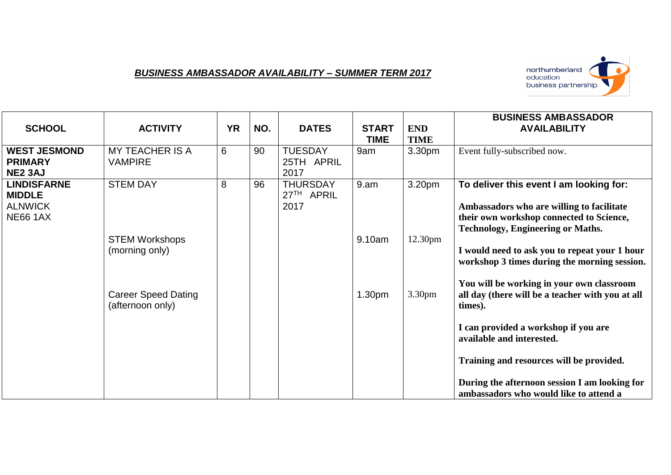## *BUSINESS AMBASSADOR AVAILABILITY – SUMMER TERM 2017*



| <b>SCHOOL</b>                                                            | <b>ACTIVITY</b>                                | <b>YR</b> | NO. | <b>DATES</b>                          | <b>START</b><br>TIME | <b>END</b><br><b>TIME</b> | <b>BUSINESS AMBASSADOR</b><br><b>AVAILABILITY</b>                                                                                                                            |
|--------------------------------------------------------------------------|------------------------------------------------|-----------|-----|---------------------------------------|----------------------|---------------------------|------------------------------------------------------------------------------------------------------------------------------------------------------------------------------|
| <b>WEST JESMOND</b><br><b>PRIMARY</b><br><b>NE2 3AJ</b>                  | <b>MY TEACHER IS A</b><br>VAMPIRE              | 6         | 90  | <b>TUESDAY</b><br>25TH APRIL<br>2017  | 9am                  | 3.30pm                    | Event fully-subscribed now.                                                                                                                                                  |
| <b>LINDISFARNE</b><br><b>MIDDLE</b><br><b>ALNWICK</b><br><b>NE66 1AX</b> | <b>STEM DAY</b>                                | 8         | 96  | <b>THURSDAY</b><br>27TH APRIL<br>2017 | 9.am                 | 3.20pm                    | To deliver this event I am looking for:<br>Ambassadors who are willing to facilitate<br>their own workshop connected to Science,<br><b>Technology, Engineering or Maths.</b> |
|                                                                          | <b>STEM Workshops</b><br>(morning only)        |           |     |                                       | 9.10am               | 12.30 <sub>pm</sub>       | I would need to ask you to repeat your 1 hour<br>workshop 3 times during the morning session.                                                                                |
|                                                                          | <b>Career Speed Dating</b><br>(afternoon only) |           |     |                                       | 1.30 <sub>pm</sub>   | 3.30 <sub>pm</sub>        | You will be working in your own classroom<br>all day (there will be a teacher with you at all<br>times).                                                                     |
|                                                                          |                                                |           |     |                                       |                      |                           | I can provided a workshop if you are<br>available and interested.                                                                                                            |
|                                                                          |                                                |           |     |                                       |                      |                           | Training and resources will be provided.                                                                                                                                     |
|                                                                          |                                                |           |     |                                       |                      |                           | During the afternoon session I am looking for<br>ambassadors who would like to attend a                                                                                      |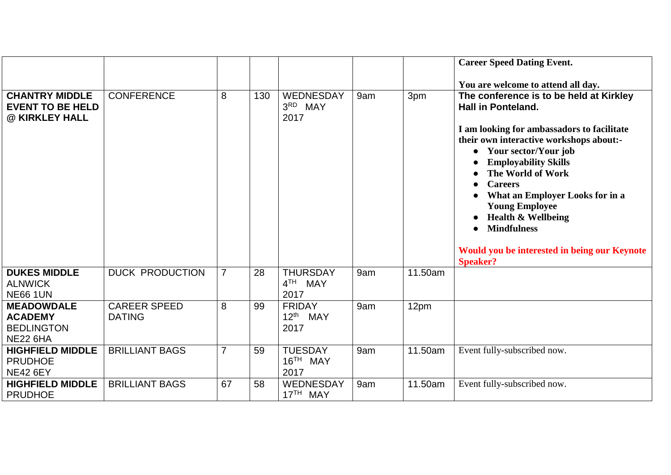|                                                                             |                                      |                |     |                                                          |     |         | <b>Career Speed Dating Event.</b>                                                                                                                                                                                                                                                                                                                                                                                                                              |
|-----------------------------------------------------------------------------|--------------------------------------|----------------|-----|----------------------------------------------------------|-----|---------|----------------------------------------------------------------------------------------------------------------------------------------------------------------------------------------------------------------------------------------------------------------------------------------------------------------------------------------------------------------------------------------------------------------------------------------------------------------|
|                                                                             |                                      |                |     |                                                          |     |         | You are welcome to attend all day.                                                                                                                                                                                                                                                                                                                                                                                                                             |
| <b>CHANTRY MIDDLE</b><br><b>EVENT TO BE HELD</b><br>@ KIRKLEY HALL          | <b>CONFERENCE</b>                    | 8              | 130 | WEDNESDAY<br>3RD MAY<br>2017                             | 9am | 3pm     | The conference is to be held at Kirkley<br><b>Hall in Ponteland.</b><br>I am looking for ambassadors to facilitate<br>their own interactive workshops about:-<br>Your sector/Your job<br>$\bullet$<br><b>Employability Skills</b><br>The World of Work<br><b>Careers</b><br>What an Employer Looks for in a<br><b>Young Employee</b><br><b>Health &amp; Wellbeing</b><br><b>Mindfulness</b><br>Would you be interested in being our Keynote<br><b>Speaker?</b> |
| <b>DUKES MIDDLE</b><br><b>ALNWICK</b><br><b>NE66 1UN</b>                    | <b>DUCK PRODUCTION</b>               | $\overline{7}$ | 28  | <b>THURSDAY</b><br>4 <sup>TH</sup><br><b>MAY</b><br>2017 | 9am | 11.50am |                                                                                                                                                                                                                                                                                                                                                                                                                                                                |
| <b>MEADOWDALE</b><br><b>ACADEMY</b><br><b>BEDLINGTON</b><br><b>NE22 6HA</b> | <b>CAREER SPEED</b><br><b>DATING</b> | 8              | 99  | <b>FRIDAY</b><br>$12^{\text{th}}$<br>MAY<br>2017         | 9am | 12pm    |                                                                                                                                                                                                                                                                                                                                                                                                                                                                |
| <b>HIGHFIELD MIDDLE</b><br><b>PRUDHOE</b><br><b>NE42 6EY</b>                | <b>BRILLIANT BAGS</b>                | $\overline{7}$ | 59  | <b>TUESDAY</b><br>16 <sup>TH</sup> MAY<br>2017           | 9am | 11.50am | Event fully-subscribed now.                                                                                                                                                                                                                                                                                                                                                                                                                                    |
| <b>HIGHFIELD MIDDLE</b><br><b>PRUDHOE</b>                                   | <b>BRILLIANT BAGS</b>                | 67             | 58  | WEDNESDAY<br>17 <sup>TH</sup> MAY                        | 9am | 11.50am | Event fully-subscribed now.                                                                                                                                                                                                                                                                                                                                                                                                                                    |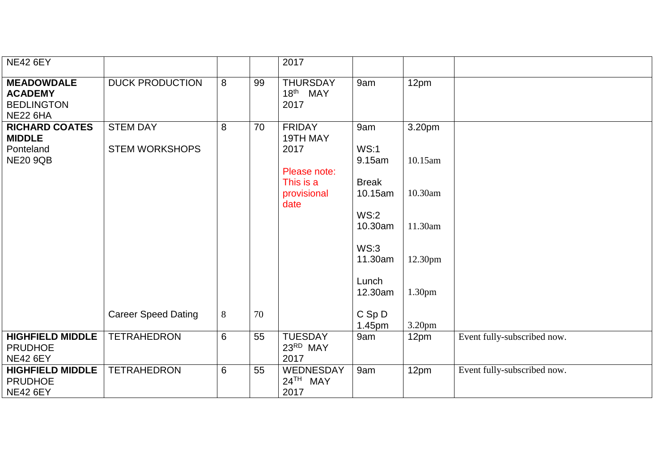| <b>NE42 6EY</b>                                                             |                                          |   |    | 2017                                            |                         |                    |                             |
|-----------------------------------------------------------------------------|------------------------------------------|---|----|-------------------------------------------------|-------------------------|--------------------|-----------------------------|
| <b>MEADOWDALE</b><br><b>ACADEMY</b><br><b>BEDLINGTON</b><br><b>NE22 6HA</b> | <b>DUCK PRODUCTION</b>                   | 8 | 99 | <b>THURSDAY</b><br>18 <sup>th</sup> MAY<br>2017 | 9am                     | 12pm               |                             |
| <b>RICHARD COATES</b><br><b>MIDDLE</b><br>Ponteland                         | <b>STEM DAY</b><br><b>STEM WORKSHOPS</b> | 8 | 70 | <b>FRIDAY</b><br>19TH MAY<br>2017               | 9am<br>WS:1             | 3.20pm             |                             |
| <b>NE20 9QB</b>                                                             |                                          |   |    | Please note:                                    | 9.15am                  | 10.15am            |                             |
|                                                                             |                                          |   |    | This is a<br>provisional<br>date                | <b>Break</b><br>10.15am | 10.30am            |                             |
|                                                                             |                                          |   |    |                                                 | WS:2<br>10.30am         | 11.30am            |                             |
|                                                                             |                                          |   |    |                                                 | WS:3<br>11.30am         | 12.30pm            |                             |
|                                                                             |                                          |   |    |                                                 | Lunch<br>12.30am        | 1.30pm             |                             |
|                                                                             | <b>Career Speed Dating</b>               | 8 | 70 |                                                 | $C$ Sp $D$<br>1.45pm    | 3.20 <sub>pm</sub> |                             |
| <b>HIGHFIELD MIDDLE</b><br><b>PRUDHOE</b><br><b>NE42 6EY</b>                | <b>TETRAHEDRON</b>                       | 6 | 55 | <b>TUESDAY</b><br>23RD MAY<br>2017              | 9am                     | 12pm               | Event fully-subscribed now. |
| <b>HIGHFIELD MIDDLE</b><br><b>PRUDHOE</b><br><b>NE42 6EY</b>                | <b>TETRAHEDRON</b>                       | 6 | 55 | WEDNESDAY<br>24TH MAY<br>2017                   | 9am                     | 12pm               | Event fully-subscribed now. |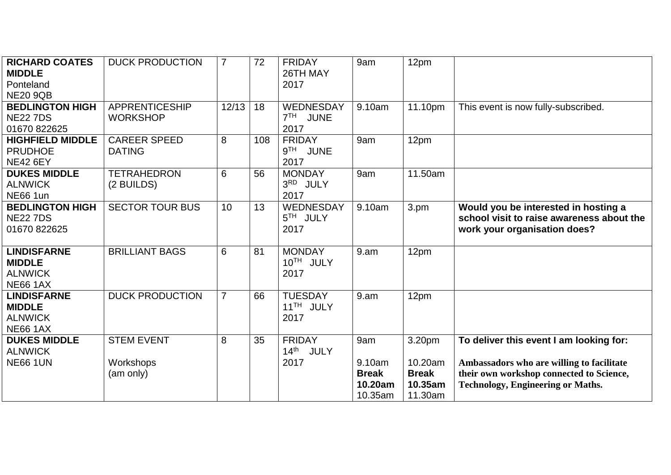| <b>RICHARD COATES</b><br><b>MIDDLE</b><br>Ponteland<br><b>NE20 9QB</b><br><b>BEDLINGTON HIGH</b> | <b>DUCK PRODUCTION</b><br><b>APPRENTICESHIP</b> | $\overline{7}$<br>12/13 | 72<br>18 | <b>FRIDAY</b><br>26TH MAY<br>2017<br>WEDNESDAY          | 9am<br>9.10am                                       | 12 <sub>pm</sub><br>11.10pm                             | This event is now fully-subscribed.                                                                                                                                          |
|--------------------------------------------------------------------------------------------------|-------------------------------------------------|-------------------------|----------|---------------------------------------------------------|-----------------------------------------------------|---------------------------------------------------------|------------------------------------------------------------------------------------------------------------------------------------------------------------------------------|
| <b>NE22 7DS</b><br>01670 822625                                                                  | <b>WORKSHOP</b>                                 |                         |          | 7 <sup>TH</sup><br><b>JUNE</b><br>2017                  |                                                     |                                                         |                                                                                                                                                                              |
| <b>HIGHFIELD MIDDLE</b><br><b>PRUDHOE</b><br><b>NE42 6EY</b>                                     | <b>CAREER SPEED</b><br><b>DATING</b>            | 8                       | 108      | <b>FRIDAY</b><br>9 <sup>TH</sup><br><b>JUNE</b><br>2017 | 9am                                                 | 12pm                                                    |                                                                                                                                                                              |
| <b>DUKES MIDDLE</b><br><b>ALNWICK</b><br><b>NE66 1un</b>                                         | <b>TETRAHEDRON</b><br>(2 BUILDS)                | 6                       | 56       | <b>MONDAY</b><br>3RD JULY<br>2017                       | 9am                                                 | 11.50am                                                 |                                                                                                                                                                              |
| <b>BEDLINGTON HIGH</b><br><b>NE22 7DS</b><br>01670 822625                                        | <b>SECTOR TOUR BUS</b>                          | 10                      | 13       | WEDNESDAY<br>5TH JULY<br>2017                           | 9.10am                                              | 3.pm                                                    | Would you be interested in hosting a<br>school visit to raise awareness about the<br>work your organisation does?                                                            |
| <b>LINDISFARNE</b><br><b>MIDDLE</b><br><b>ALNWICK</b><br><b>NE66 1AX</b>                         | <b>BRILLIANT BAGS</b>                           | 6                       | 81       | <b>MONDAY</b><br>10TH JULY<br>2017                      | 9. a m                                              | 12pm                                                    |                                                                                                                                                                              |
| <b>LINDISFARNE</b><br><b>MIDDLE</b><br><b>ALNWICK</b><br><b>NE66 1AX</b>                         | <b>DUCK PRODUCTION</b>                          | $\overline{7}$          | 66       | <b>TUESDAY</b><br>11 <sup>TH</sup> JULY<br>2017         | 9.am                                                | 12pm                                                    |                                                                                                                                                                              |
| <b>DUKES MIDDLE</b><br><b>ALNWICK</b><br><b>NE66 1UN</b>                                         | <b>STEM EVENT</b><br>Workshops<br>(am only)     | 8                       | 35       | <b>FRIDAY</b><br>14th JULY<br>2017                      | 9am<br>9.10am<br><b>Break</b><br>10.20am<br>10.35am | 3.20pm<br>10.20am<br><b>Break</b><br>10.35am<br>11.30am | To deliver this event I am looking for:<br>Ambassadors who are willing to facilitate<br>their own workshop connected to Science,<br><b>Technology, Engineering or Maths.</b> |